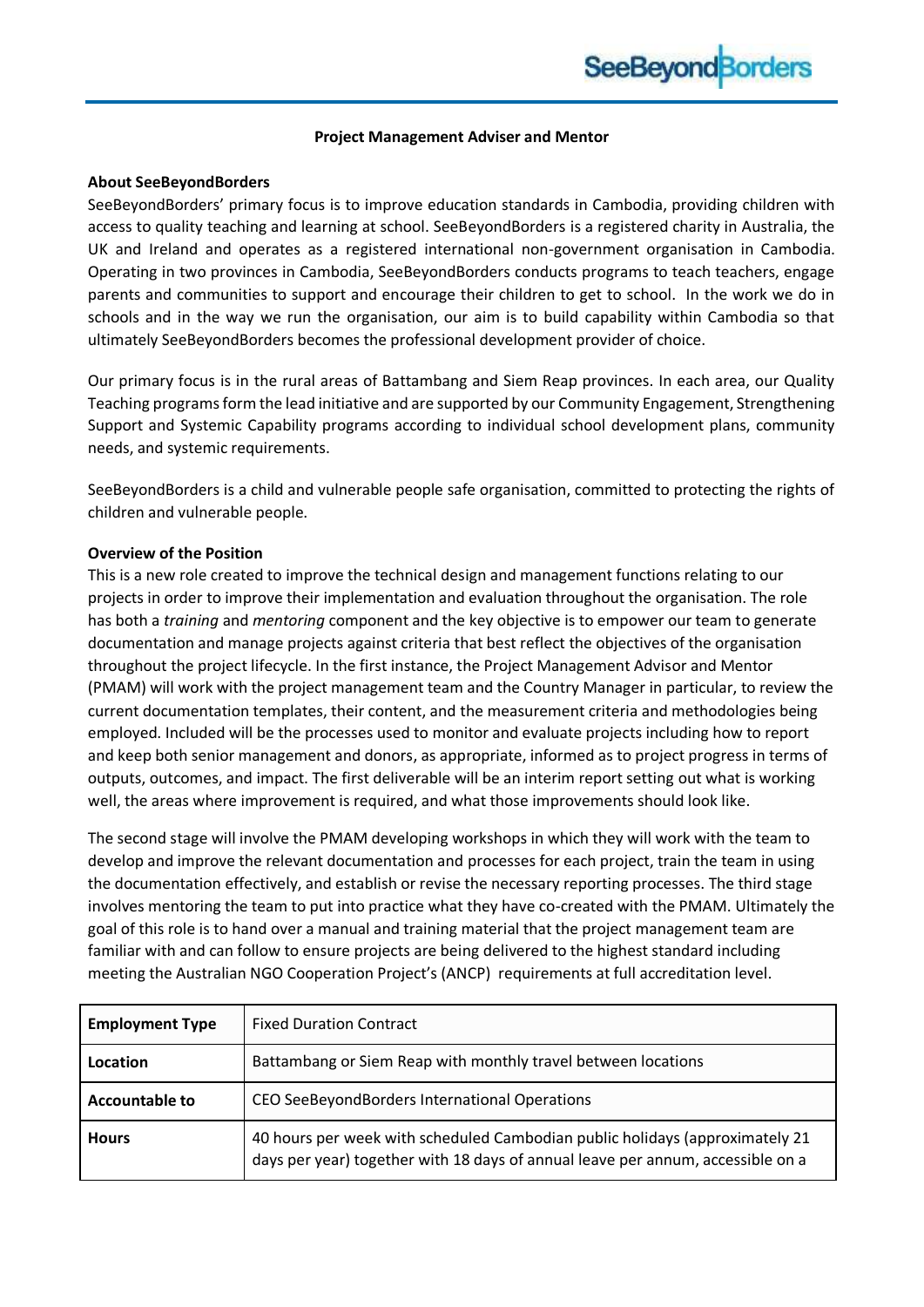#### **Project Management Adviser and Mentor**

#### **About SeeBeyondBorders**

SeeBeyondBorders' primary focus is to improve education standards in Cambodia, providing children with access to quality teaching and learning at school. SeeBeyondBorders is a registered charity in Australia, the UK and Ireland and operates as a registered international non-government organisation in Cambodia. Operating in two provinces in Cambodia, SeeBeyondBorders conducts programs to teach teachers, engage parents and communities to support and encourage their children to get to school. In the work we do in schools and in the way we run the organisation, our aim is to build capability within Cambodia so that ultimately SeeBeyondBorders becomes the professional development provider of choice.

Our primary focus is in the rural areas of Battambang and Siem Reap provinces. In each area, our Quality Teaching programs form the lead initiative and are supported by our Community Engagement, Strengthening Support and Systemic Capability programs according to individual school development plans, community needs, and systemic requirements.

SeeBeyondBorders is a child and vulnerable people safe organisation, committed to protecting the rights of children and vulnerable people.

#### **Overview of the Position**

This is a new role created to improve the technical design and management functions relating to our projects in order to improve their implementation and evaluation throughout the organisation. The role has both a *training* and *mentoring* component and the key objective is to empower our team to generate documentation and manage projects against criteria that best reflect the objectives of the organisation throughout the project lifecycle. In the first instance, the Project Management Advisor and Mentor (PMAM) will work with the project management team and the Country Manager in particular, to review the current documentation templates, their content, and the measurement criteria and methodologies being employed. Included will be the processes used to monitor and evaluate projects including how to report and keep both senior management and donors, as appropriate, informed as to project progress in terms of outputs, outcomes, and impact. The first deliverable will be an interim report setting out what is working well, the areas where improvement is required, and what those improvements should look like.

The second stage will involve the PMAM developing workshops in which they will work with the team to develop and improve the relevant documentation and processes for each project, train the team in using the documentation effectively, and establish or revise the necessary reporting processes. The third stage involves mentoring the team to put into practice what they have co-created with the PMAM. Ultimately the goal of this role is to hand over a manual and training material that the project management team are familiar with and can follow to ensure projects are being delivered to the highest standard including meeting the Australian NGO Cooperation Project's (ANCP) requirements at full accreditation level.

| <b>Employment Type</b> | <b>Fixed Duration Contract</b>                                                                                                                                  |
|------------------------|-----------------------------------------------------------------------------------------------------------------------------------------------------------------|
| Location               | Battambang or Siem Reap with monthly travel between locations                                                                                                   |
| <b>Accountable to</b>  | CEO SeeBeyondBorders International Operations                                                                                                                   |
| <b>Hours</b>           | 40 hours per week with scheduled Cambodian public holidays (approximately 21<br>days per year) together with 18 days of annual leave per annum, accessible on a |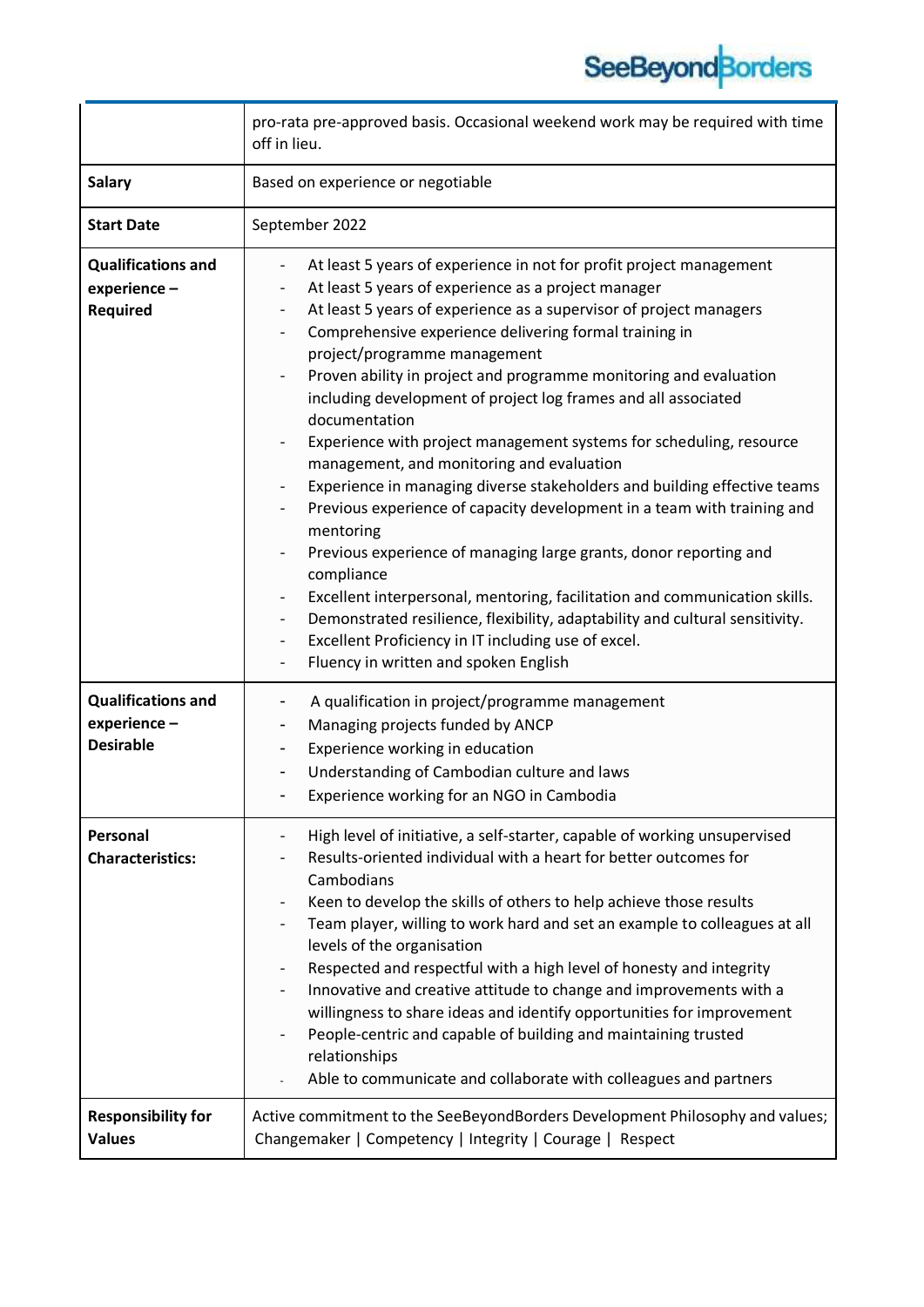# SeeBeyond Borders

|                                                              | pro-rata pre-approved basis. Occasional weekend work may be required with time<br>off in lieu.                                                                                                                                                                                                                                                                                                                                                                                                                                                                                                                                                                                                                                                                                                                                                                                                                                                                                                                                                                                                                                                                                                                                                                                                                                                                   |
|--------------------------------------------------------------|------------------------------------------------------------------------------------------------------------------------------------------------------------------------------------------------------------------------------------------------------------------------------------------------------------------------------------------------------------------------------------------------------------------------------------------------------------------------------------------------------------------------------------------------------------------------------------------------------------------------------------------------------------------------------------------------------------------------------------------------------------------------------------------------------------------------------------------------------------------------------------------------------------------------------------------------------------------------------------------------------------------------------------------------------------------------------------------------------------------------------------------------------------------------------------------------------------------------------------------------------------------------------------------------------------------------------------------------------------------|
| <b>Salary</b>                                                | Based on experience or negotiable                                                                                                                                                                                                                                                                                                                                                                                                                                                                                                                                                                                                                                                                                                                                                                                                                                                                                                                                                                                                                                                                                                                                                                                                                                                                                                                                |
| <b>Start Date</b>                                            | September 2022                                                                                                                                                                                                                                                                                                                                                                                                                                                                                                                                                                                                                                                                                                                                                                                                                                                                                                                                                                                                                                                                                                                                                                                                                                                                                                                                                   |
| <b>Qualifications and</b><br>experience-<br>Required         | At least 5 years of experience in not for profit project management<br>$\overline{\phantom{a}}$<br>At least 5 years of experience as a project manager<br>$\overline{\phantom{a}}$<br>At least 5 years of experience as a supervisor of project managers<br>$\overline{\phantom{a}}$<br>Comprehensive experience delivering formal training in<br>$\qquad \qquad \blacksquare$<br>project/programme management<br>Proven ability in project and programme monitoring and evaluation<br>$\overline{\phantom{a}}$<br>including development of project log frames and all associated<br>documentation<br>Experience with project management systems for scheduling, resource<br>management, and monitoring and evaluation<br>Experience in managing diverse stakeholders and building effective teams<br>Previous experience of capacity development in a team with training and<br>-<br>mentoring<br>Previous experience of managing large grants, donor reporting and<br>compliance<br>Excellent interpersonal, mentoring, facilitation and communication skills.<br>$\overline{\phantom{a}}$<br>Demonstrated resilience, flexibility, adaptability and cultural sensitivity.<br>$\overline{\phantom{a}}$<br>Excellent Proficiency in IT including use of excel.<br>$\overline{\phantom{a}}$<br>Fluency in written and spoken English<br>$\overline{\phantom{a}}$ |
| <b>Qualifications and</b><br>experience-<br><b>Desirable</b> | A qualification in project/programme management<br>-<br>Managing projects funded by ANCP<br>$\qquad \qquad \blacksquare$<br>Experience working in education<br>-<br>Understanding of Cambodian culture and laws<br>-<br>Experience working for an NGO in Cambodia                                                                                                                                                                                                                                                                                                                                                                                                                                                                                                                                                                                                                                                                                                                                                                                                                                                                                                                                                                                                                                                                                                |
| Personal<br><b>Characteristics:</b>                          | High level of initiative, a self-starter, capable of working unsupervised<br>Results-oriented individual with a heart for better outcomes for<br>Cambodians<br>Keen to develop the skills of others to help achieve those results<br>Team player, willing to work hard and set an example to colleagues at all<br>levels of the organisation<br>Respected and respectful with a high level of honesty and integrity<br>Innovative and creative attitude to change and improvements with a<br>willingness to share ideas and identify opportunities for improvement<br>People-centric and capable of building and maintaining trusted<br>relationships<br>Able to communicate and collaborate with colleagues and partners                                                                                                                                                                                                                                                                                                                                                                                                                                                                                                                                                                                                                                        |
| <b>Responsibility for</b><br><b>Values</b>                   | Active commitment to the SeeBeyondBorders Development Philosophy and values;<br>Changemaker   Competency   Integrity   Courage   Respect                                                                                                                                                                                                                                                                                                                                                                                                                                                                                                                                                                                                                                                                                                                                                                                                                                                                                                                                                                                                                                                                                                                                                                                                                         |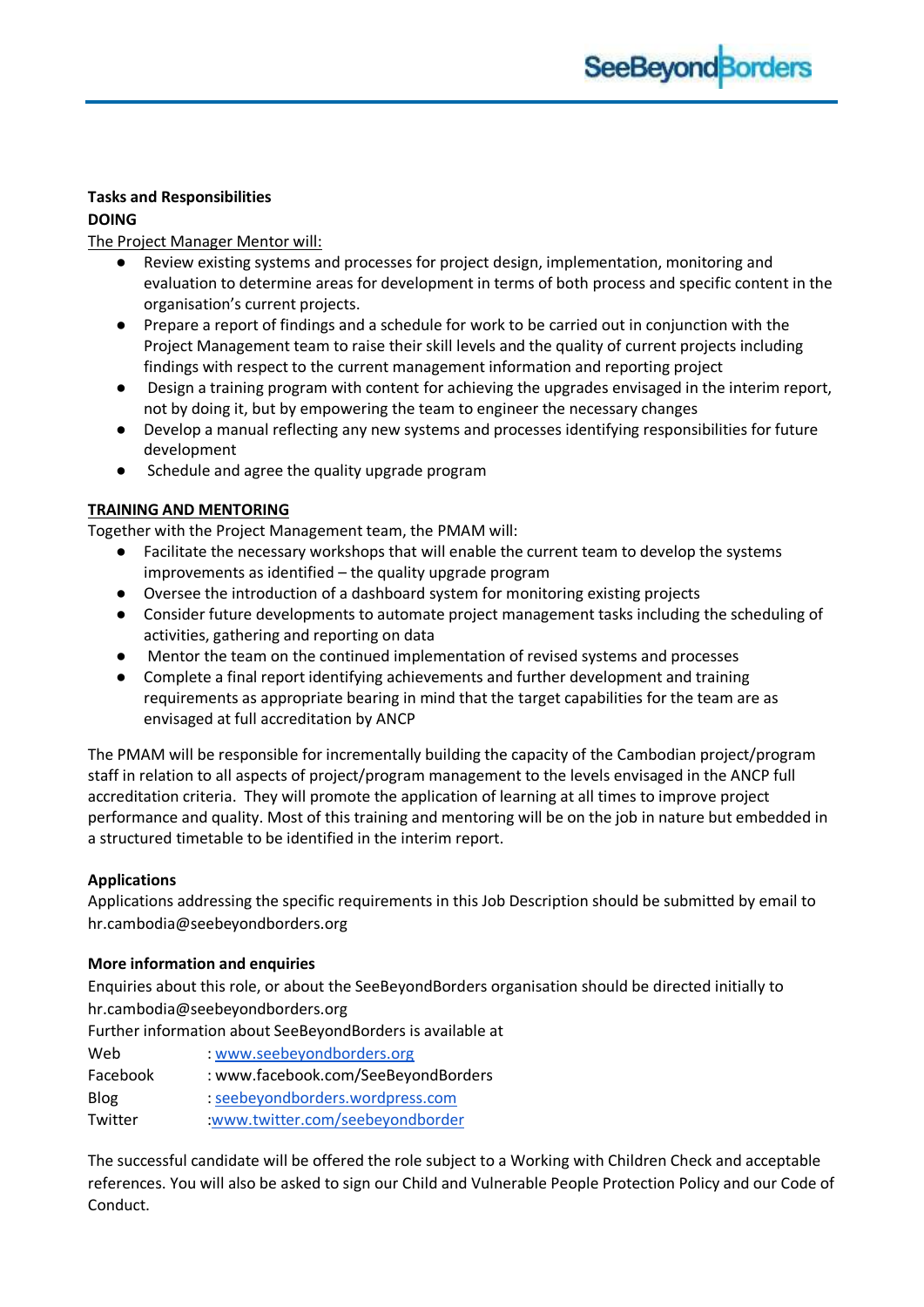## **Tasks and Responsibilities**

## **DOING**

The Project Manager Mentor will:

- Review existing systems and processes for project design, implementation, monitoring and evaluation to determine areas for development in terms of both process and specific content in the organisation's current projects.
- Prepare a report of findings and a schedule for work to be carried out in conjunction with the Project Management team to raise their skill levels and the quality of current projects including findings with respect to the current management information and reporting project
- Design a training program with content for achieving the upgrades envisaged in the interim report, not by doing it, but by empowering the team to engineer the necessary changes
- Develop a manual reflecting any new systems and processes identifying responsibilities for future development
- Schedule and agree the quality upgrade program

# **TRAINING AND MENTORING**

Together with the Project Management team, the PMAM will:

- Facilitate the necessary workshops that will enable the current team to develop the systems improvements as identified – the quality upgrade program
- Oversee the introduction of a dashboard system for monitoring existing projects
- Consider future developments to automate project management tasks including the scheduling of activities, gathering and reporting on data
- Mentor the team on the continued implementation of revised systems and processes
- Complete a final report identifying achievements and further development and training requirements as appropriate bearing in mind that the target capabilities for the team are as envisaged at full accreditation by ANCP

The PMAM will be responsible for incrementally building the capacity of the Cambodian project/program staff in relation to all aspects of project/program management to the levels envisaged in the ANCP full accreditation criteria. They will promote the application of learning at all times to improve project performance and quality. Most of this training and mentoring will be on the job in nature but embedded in a structured timetable to be identified in the interim report.

## **Applications**

Applications addressing the specific requirements in this Job Description should be submitted by email to hr.cambodia@seebeyondborders.org

## **More information and enquiries**

Enquiries about this role, or about the SeeBeyondBorders organisation should be directed initially to hr.cambodia@seebeyondborders.org

Further information about SeeBeyondBorders is available at

| Web      | : www.seebeyondborders.org          |
|----------|-------------------------------------|
| Facebook | : www.facebook.com/SeeBeyondBorders |
| Blog     | : seebeyondborders.wordpress.com    |
| Twitter  | :www.twitter.com/seebeyondborder    |

The successful candidate will be offered the role subject to a Working with Children Check and acceptable references. You will also be asked to sign our Child and Vulnerable People Protection Policy and our Code of Conduct.